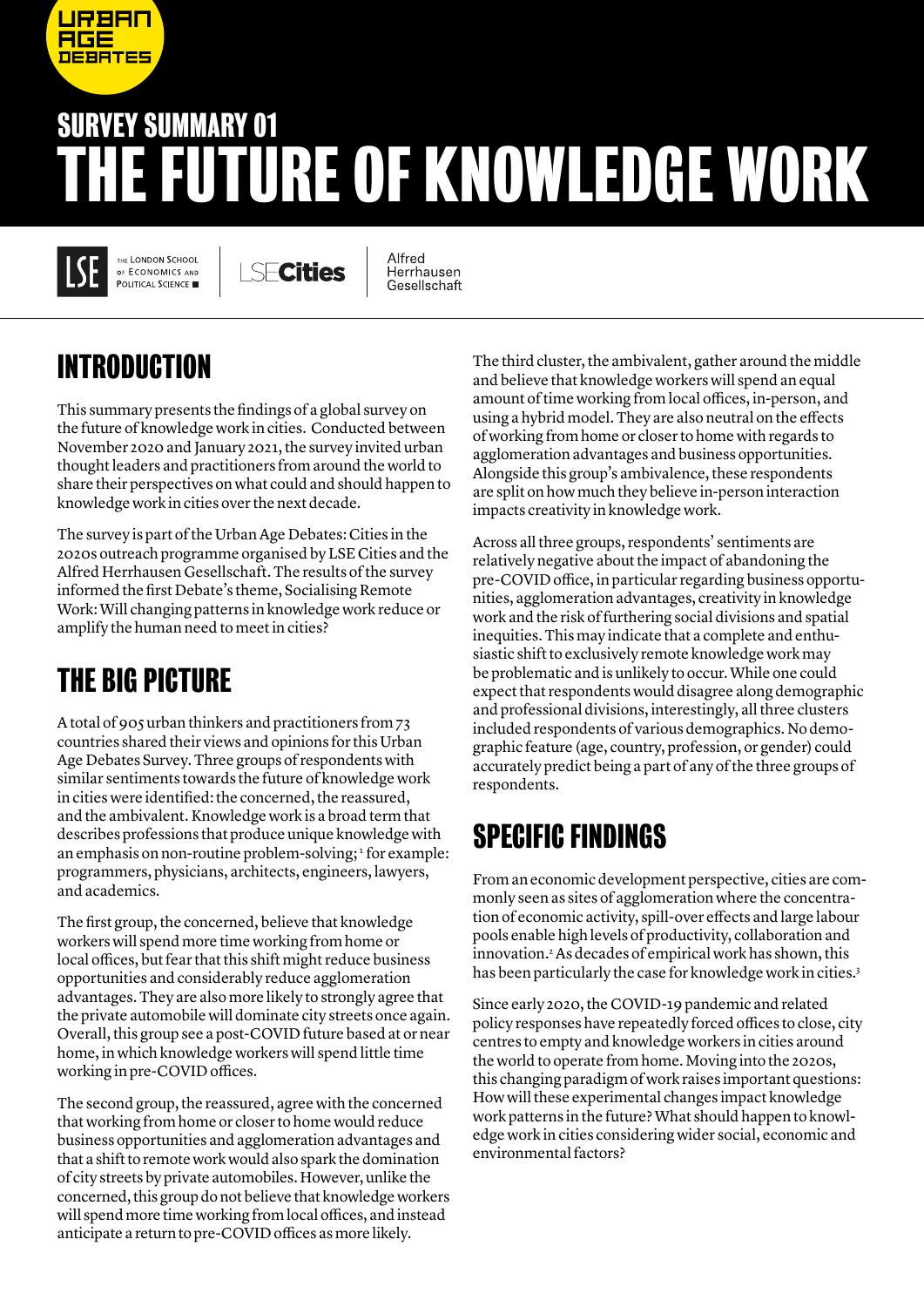# SURVEY SUMMARY 01 THE FUTURE OF KNOWLEDGE WORK

THE LONDON SCHOOL OF ECONOMICS AND POLITICAL SCIENCE

<u>JRBAN</u>

**DEBATES** 

**Cities** 

Alfred Herrhausen Gesellschaft

# INTRODUCTION

This summary presents the findings of a global survey on the future of knowledge work in cities. Conducted between November 2020 and January 2021, the survey invited urban thought leaders and practitioners from around the world to share their perspectives on what could and should happen to knowledge work in cities over the next decade.

The survey is part of the Urban Age Debates: Cities in the 2020s outreach programme organised by LSE Cities and the Alfred Herrhausen Gesellschaft. The results of the survey informed the first Debate's theme, Socialising Remote Work: Will changing patterns in knowledge work reduce or amplify the human need to meet in cities?

## THE BIG PICTURE

A total of 905 urban thinkers and practitioners from 73 countries shared their views and opinions for this Urban Age Debates Survey. Three groups of respondents with similar sentiments towards the future of knowledge work in cities were identified: the concerned, the reassured, and the ambivalent. Knowledge work is a broad term that describes professions that produce unique knowledge with an emphasis on non-routine problem-solving; <sup>1</sup> for example: programmers, physicians, architects, engineers, lawyers, and academics.

The first group, the concerned, believe that knowledge workers will spend more time working from home or local offices, but fear that this shift might reduce business opportunities and considerably reduce agglomeration advantages. They are also more likely to strongly agree that the private automobile will dominate city streets once again. Overall, this group see a post-COVID future based at or near home, in which knowledge workers will spend little time working in pre-COVID offices.

The second group, the reassured, agree with the concerned that working from home or closer to home would reduce business opportunities and agglomeration advantages and that a shift to remote work would also spark the domination of city streets by private automobiles. However, unlike the concerned, this group do not believe that knowledge workers will spend more time working from local offices, and instead anticipate a return to pre-COVID offices as more likely.

The third cluster, the ambivalent, gather around the middle and believe that knowledge workers will spend an equal amount of time working from local offices, in-person, and using a hybrid model. They are also neutral on the effects of working from home or closer to home with regards to agglomeration advantages and business opportunities. Alongside this group's ambivalence, these respondents are split on how much they believe in-person interaction impacts creativity in knowledge work.

Across all three groups, respondents' sentiments are relatively negative about the impact of abandoning the pre-COVID office, in particular regarding business opportunities, agglomeration advantages, creativity in knowledge work and the risk of furthering social divisions and spatial inequities. This may indicate that a complete and enthusiastic shift to exclusively remote knowledge work may be problematic and is unlikely to occur. While one could expect that respondents would disagree along demographic and professional divisions, interestingly, all three clusters included respondents of various demographics. No demographic feature (age, country, profession, or gender) could accurately predict being a part of any of the three groups of respondents.

## SPECIFIC FINDINGS

From an economic development perspective, cities are commonly seen as sites of agglomeration where the concentration of economic activity, spill-over effects and large labour pools enable high levels of productivity, collaboration and innovation.2 As decades of empirical work has shown, this has been particularly the case for knowledge work in cities.<sup>3</sup>

Since early 2020, the COVID-19 pandemic and related policy responses have repeatedly forced offices to close, city centres to empty and knowledge workers in cities around the world to operate from home. Moving into the 2020s, this changing paradigm of work raises important questions: How will these experimental changes impact knowledge work patterns in the future? What should happen to knowledge work in cities considering wider social, economic and environmental factors?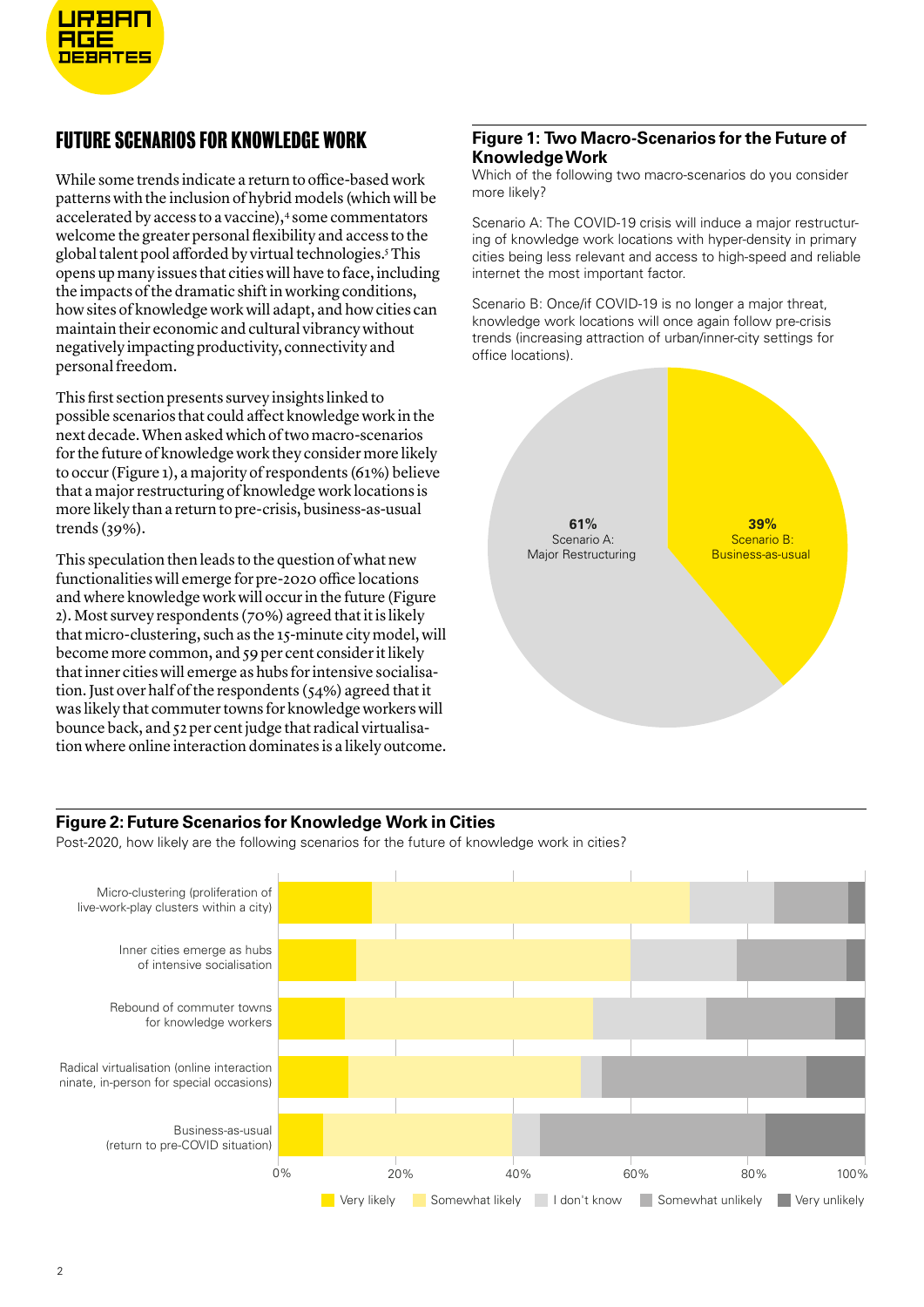

### FUTURE SCENARIOS FOR KNOWLEDGE WORK

While some trends indicate a return to office-based work patterns with the inclusion of hybrid models (which will be accelerated by access to a vaccine),<sup>4</sup> some commentators welcome the greater personal flexibility and access to the global talent pool afforded by virtual technologies.5 This opens up many issues that cities will have to face, including the impacts of the dramatic shift in working conditions, how sites of knowledge work will adapt, and how cities can maintain their economic and cultural vibrancy without negatively impacting productivity, connectivity and personal freedom.

This first section presents survey insights linked to possible scenarios that could affect knowledge work in the next decade. When asked which of two macro-scenarios for the future of knowledge work they consider more likely to occur (Figure 1), a majority of respondents (61%) believe that a major restructuring of knowledge work locations is more likely than a return to pre-crisis, business-as-usual trends (39%).

This speculation then leads to the question of what new functionalities will emerge for pre-2020 office locations and where knowledge work will occur in the future (Figure 2). Most survey respondents (70%) agreed that it is likely that micro-clustering, such as the 15-minute city model, will become more common, and 59 per cent consider it likely that inner cities will emerge as hubs for intensive socialisation. Just over half of the respondents (54%) agreed that it was likely that commuter towns for knowledge workers will bounce back, and 52 per cent judge that radical virtualisation where online interaction dominates is a likely outcome.

#### **Figure 1: Two Macro-Scenarios for the Future of Knowledge Work**

Which of the following two macro-scenarios do you consider more likely?

Scenario A: The COVID-19 crisis will induce a major restructuring of knowledge work locations with hyper-density in primary cities being less relevant and access to high-speed and reliable internet the most important factor.

Scenario B: Once/if COVID-19 is no longer a major threat, knowledge work locations will once again follow pre-crisis trends (increasing attraction of urban/inner-city settings for office locations).



#### **Figure 2: Future Scenarios for Knowledge Work in Cities**

Post-2020, how likely are the following scenarios for the future of knowledge work in cities?

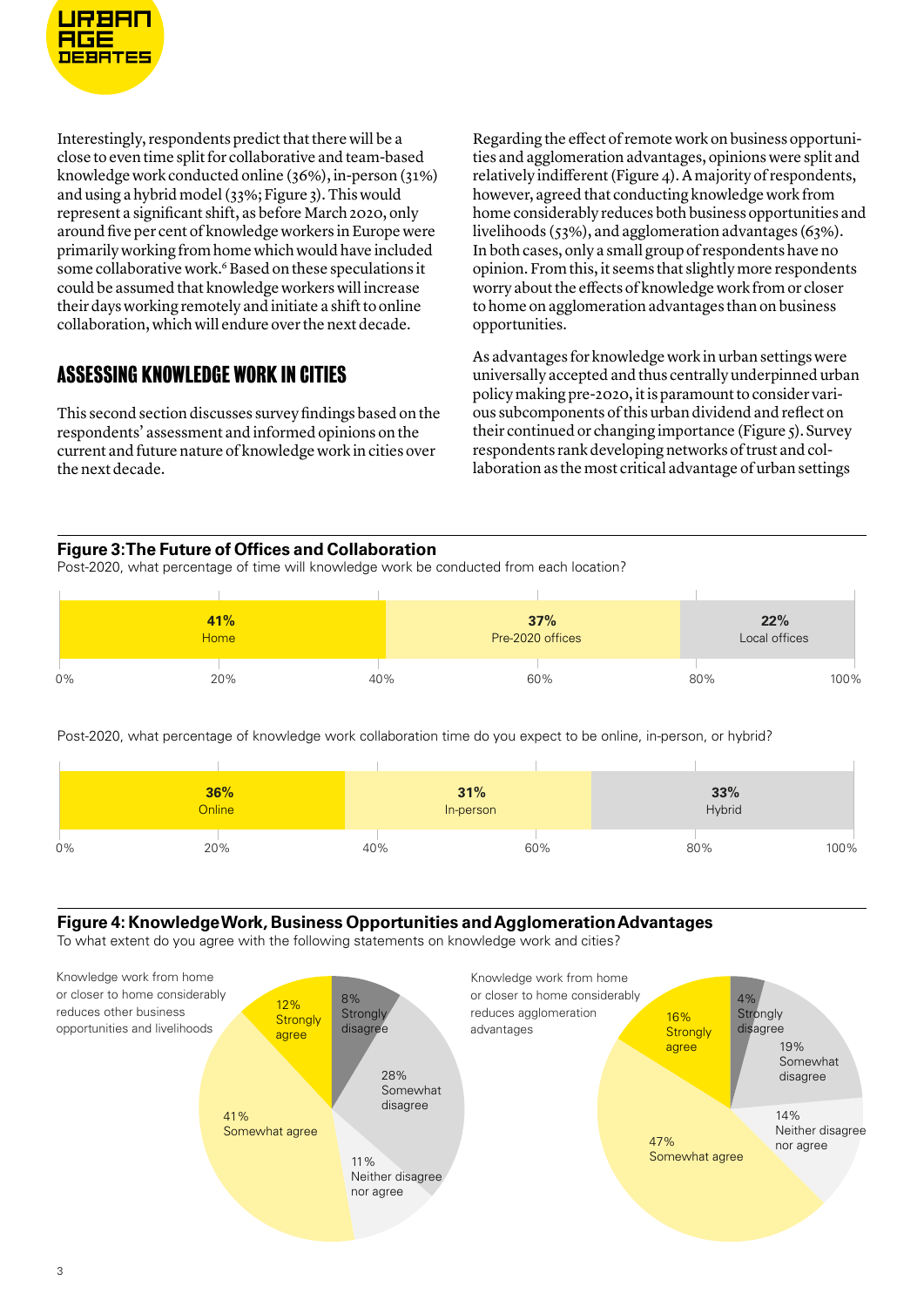

Interestingly, respondents predict that there will be a close to even time split for collaborative and team-based knowledge work conducted online (36%), in-person (31%) and using a hybrid model (33%; Figure 3). This would represent a significant shift, as before March 2020, only around five per cent of knowledge workers in Europe were primarily working from home which would have included some collaborative work.<sup>6</sup> Based on these speculations it could be assumed that knowledge workers will increase their days working remotely and initiate a shift to online collaboration, which will endure over the next decade.

### ASSESSING KNOWLEDGE WORK IN CITIES

This second section discusses survey findings based on the respondents' assessment and informed opinions on the current and future nature of knowledge work in cities over the next decade.

Regarding the effect of remote work on business opportunities and agglomeration advantages, opinions were split and relatively indifferent (Figure 4). A majority of respondents, however, agreed that conducting knowledge work from home considerably reduces both business opportunities and livelihoods (53%), and agglomeration advantages (63%). In both cases, only a small group of respondents have no opinion. From this, it seems that slightly more respondents worry about the effects of knowledge work from or closer to home on agglomeration advantages than on business opportunities.

As advantages for knowledge work in urban settings were universally accepted and thus centrally underpinned urban policy making pre-2020, it is paramount to consider various subcomponents of this urban dividend and reflect on their continued or changing importance (Figure 5). Survey respondents rank developing networks of trust and collaboration as the most critical advantage of urban settings

#### **Figure 3: The Future of Offices and Collaboration**

Post-2020, what percentage of time will knowledge work be conducted from each location?

| 41%<br><b>Home</b> |     |     | 37%<br>Pre-2020 offices |     | 22%<br>Local offices |  |  |
|--------------------|-----|-----|-------------------------|-----|----------------------|--|--|
| 0%                 | 20% | 40% | 60%                     | 80% | 100%                 |  |  |

Post-2020, what percentage of knowledge work collaboration time do you expect to be online, in-person, or hybrid?

|    | 36%<br>Online |     | 31%<br>In-person | 33%<br>Hybrid |      |
|----|---------------|-----|------------------|---------------|------|
| 0% | 20%           | 40% | 60%              | 80%           | 100% |

#### **Figure 4: Knowledge Work, Business Opportunities and Agglomeration Advantages**

To what extent do you agree with the following statements on knowledge work and cities?

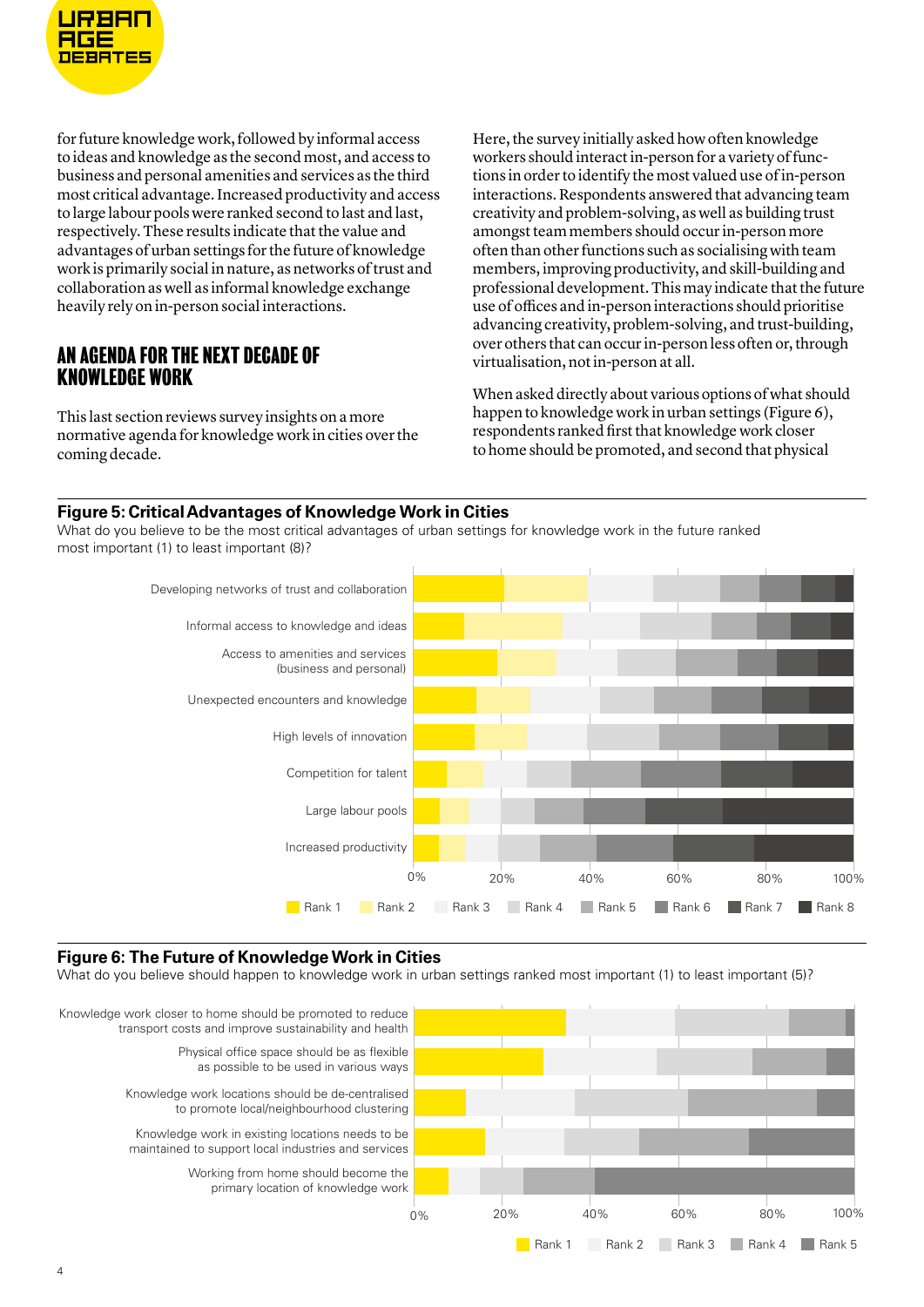

for future knowledge work, followed by informal access to ideas and knowledge as the second most, and access to business and personal amenities and services as the third most critical advantage. Increased productivity and access to large labour pools were ranked second to last and last, respectively. These results indicate that the value and advantages of urban settings for the future of knowledge work is primarily social in nature, as networks of trust and collaboration as well as informal knowledge exchange heavily rely on in-person social interactions.

#### AN AGENDA FOR THE NEXT DECADE OF KNOWLEDGE WORK

This last section reviews survey insights on a more normative agenda for knowledge work in cities over the coming decade.

Here, the survey initially asked how often knowledge workers should interact in-person for a variety of functions in order to identify the most valued use of in-person interactions. Respondents answered that advancing team creativity and problem-solving, as well as building trust amongst team members should occur in-person more often than other functions such as socialising with team members, improving productivity, and skill-building and professional development. This may indicate that the future use of offices and in-person interactions should prioritise advancing creativity, problem-solving, and trust-building, over others that can occur in-person less often or, through virtualisation, not in-person at all.

When asked directly about various options of what should happen to knowledge work in urban settings (Figure 6), respondents ranked first that knowledge work closer to home should be promoted, and second that physical

#### **Figure 5: Critical Advantages of Knowledge Work in Cities**

What do you believe to be the most critical advantages of urban settings for knowledge work in the future ranked most important (1) to least important (8)?



#### **Figure 6: The Future of Knowledge Work in Cities**

What do you believe should happen to knowledge work in urban settings ranked most important (1) to least important (5)?

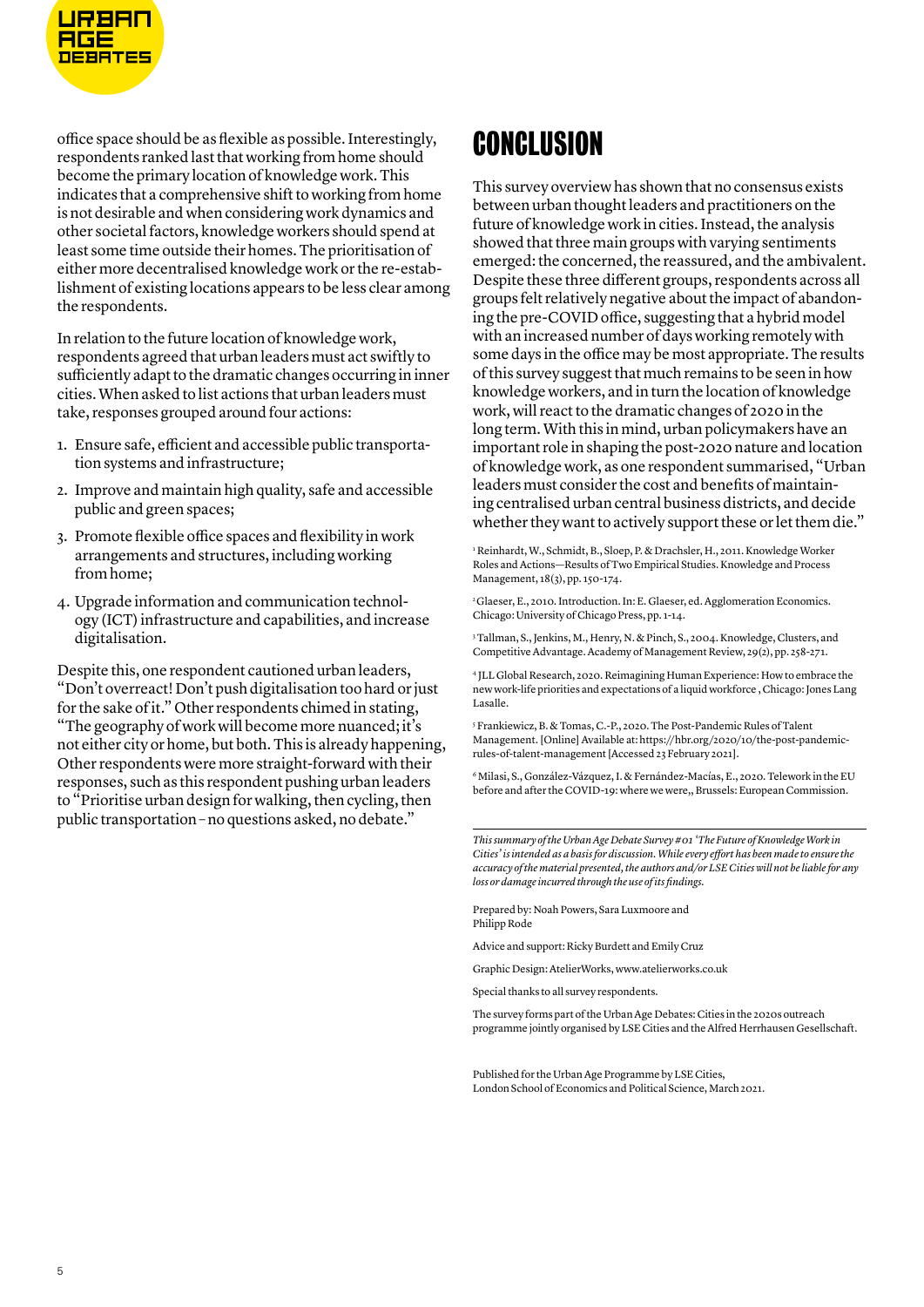

office space should be as flexible as possible. Interestingly, respondents ranked last that working from home should become the primary location of knowledge work. This indicates that a comprehensive shift to working from home is not desirable and when considering work dynamics and other societal factors, knowledge workers should spend at least some time outside their homes. The prioritisation of either more decentralised knowledge work or the re-establishment of existing locations appears to be less clear among the respondents.

In relation to the future location of knowledge work, respondents agreed that urban leaders must act swiftly to sufficiently adapt to the dramatic changes occurring in inner cities. When asked to list actions that urban leaders must take, responses grouped around four actions:

- 1. Ensure safe, efficient and accessible public transportation systems and infrastructure;
- 2. Improve and maintain high quality, safe and accessible public and green spaces;
- 3. Promote flexible office spaces and flexibility in work arrangements and structures, including working from home;
- 4. Upgrade information and communication technology (ICT) infrastructure and capabilities, and increase digitalisation.

Despite this, one respondent cautioned urban leaders, "Don't overreact! Don't push digitalisation too hard or just for the sake of it." Other respondents chimed in stating, "The geography of work will become more nuanced; it's not either city or home, but both. This is already happening, Other respondents were more straight-forward with their responses, such as this respondent pushing urban leaders to "Prioritise urban design for walking, then cycling, then public transportation – no questions asked, no debate."

### **CONCLUSION**

This survey overview has shown that no consensus exists between urban thought leaders and practitioners on the future of knowledge work in cities. Instead, the analysis showed that three main groups with varying sentiments emerged: the concerned, the reassured, and the ambivalent. Despite these three different groups, respondents across all groups felt relatively negative about the impact of abandoning the pre-COVID office, suggesting that a hybrid model with an increased number of days working remotely with some days in the office may be most appropriate. The results of this survey suggest that much remains to be seen in how knowledge workers, and in turn the location of knowledge work, will react to the dramatic changes of 2020 in the long term. With this in mind, urban policymakers have an important role in shaping the post-2020 nature and location of knowledge work, as one respondent summarised, "Urban leaders must consider the cost and benefits of maintaining centralised urban central business districts, and decide whether they want to actively support these or let them die."

1 Reinhardt, W., Schmidt, B., Sloep, P. & Drachsler, H., 2011. Knowledge Worker Roles and Actions—Results of Two Empirical Studies. Knowledge and Process Management, 18(3), pp. 150-174.

<sup>2</sup> Glaeser, E., 2010. Introduction. In: E. Glaeser, ed. Agglomeration Economics. Chicago: University of Chicago Press, pp. 1-14.

3 Tallman, S., Jenkins, M., Henry, N. & Pinch, S., 2004. Knowledge, Clusters, and Competitive Advantage. Academy of Management Review, 29(2), pp. 258-271.

4 JLL Global Research, 2020. Reimagining Human Experience: How to embrace the new work-life priorities and expectations of a liquid workforce , Chicago: Jones Lang Lasalle.

5 Frankiewicz, B. & Tomas, C.-P., 2020. The Post-Pandemic Rules of Talent Management. [Online] Available at: https://hbr.org/2020/10/the-post-pandemicrules-of-talent-management [Accessed 23 February 2021].

6 Milasi, S., González-Vázquez, I. & Fernández-Macías, E., 2020. Telework in the EU before and after the COVID-19: where we were,, Brussels: European Commission.

*This summary of the Urban Age Debate Survey #01 'The Future of Knowledge Work in Cities' is intended as a basis for discussion. While every effort has been made to ensure the accuracy of the material presented, the authors and/or LSE Cities will not be liable for any loss or damage incurred through the use of its findings.*

Prepared by: Noah Powers, Sara Luxmoore and Philipp Rode

Advice and support: Ricky Burdett and Emily Cruz

Graphic Design: AtelierWorks, [www.atelierworks.co.uk](http://atelierworks.co.uk)

Special thanks to all survey respondents.

The survey forms part of the Urban Age Debates: Cities in the 2020s outreach programme jointly organised by LSE Cities and the Alfred Herrhausen Gesellschaft.

Published for the Urban Age Programme by LSE Cities, London School of Economics and Political Science, March 2021.